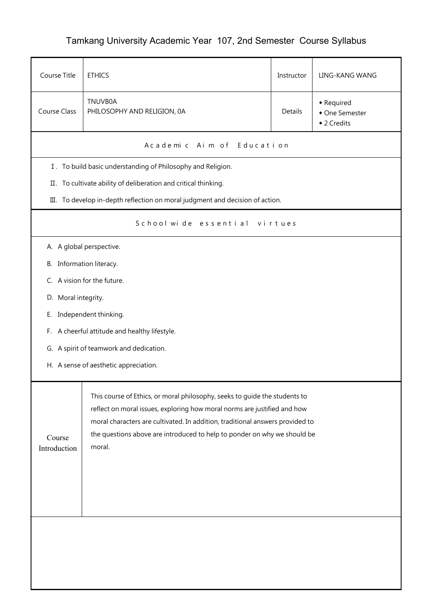## Tamkang University Academic Year 107, 2nd Semester Course Syllabus

| Course Title                                                                                                                                                                                                                                                                                                                                            | <b>ETHICS</b>                                                                 | Instructor     | LING-KANG WANG                              |  |  |  |  |
|---------------------------------------------------------------------------------------------------------------------------------------------------------------------------------------------------------------------------------------------------------------------------------------------------------------------------------------------------------|-------------------------------------------------------------------------------|----------------|---------------------------------------------|--|--|--|--|
| <b>Course Class</b>                                                                                                                                                                                                                                                                                                                                     | <b>TNUVB0A</b><br>PHILOSOPHY AND RELIGION, 0A                                 | <b>Details</b> | • Required<br>• One Semester<br>◆ 2 Credits |  |  |  |  |
|                                                                                                                                                                                                                                                                                                                                                         | A cademic Aim of Education                                                    |                |                                             |  |  |  |  |
|                                                                                                                                                                                                                                                                                                                                                         | I. To build basic understanding of Philosophy and Religion.                   |                |                                             |  |  |  |  |
|                                                                                                                                                                                                                                                                                                                                                         | II. To cultivate ability of deliberation and critical thinking.               |                |                                             |  |  |  |  |
|                                                                                                                                                                                                                                                                                                                                                         | III. To develop in-depth reflection on moral judgment and decision of action. |                |                                             |  |  |  |  |
| School wide essential virtues                                                                                                                                                                                                                                                                                                                           |                                                                               |                |                                             |  |  |  |  |
|                                                                                                                                                                                                                                                                                                                                                         | A. A global perspective.                                                      |                |                                             |  |  |  |  |
| B. Information literacy.                                                                                                                                                                                                                                                                                                                                |                                                                               |                |                                             |  |  |  |  |
|                                                                                                                                                                                                                                                                                                                                                         | C. A vision for the future.                                                   |                |                                             |  |  |  |  |
| D. Moral integrity.                                                                                                                                                                                                                                                                                                                                     |                                                                               |                |                                             |  |  |  |  |
| Е.                                                                                                                                                                                                                                                                                                                                                      | Independent thinking.                                                         |                |                                             |  |  |  |  |
| F.                                                                                                                                                                                                                                                                                                                                                      | A cheerful attitude and healthy lifestyle.                                    |                |                                             |  |  |  |  |
|                                                                                                                                                                                                                                                                                                                                                         | G. A spirit of teamwork and dedication.                                       |                |                                             |  |  |  |  |
| H. A sense of aesthetic appreciation.                                                                                                                                                                                                                                                                                                                   |                                                                               |                |                                             |  |  |  |  |
| This course of Ethics, or moral philosophy, seeks to guide the students to<br>reflect on moral issues, exploring how moral norms are justified and how<br>moral characters are cultivated. In addition, traditional answers provided to<br>the questions above are introduced to help to ponder on why we should be<br>Course<br>moral.<br>Introduction |                                                                               |                |                                             |  |  |  |  |
|                                                                                                                                                                                                                                                                                                                                                         |                                                                               |                |                                             |  |  |  |  |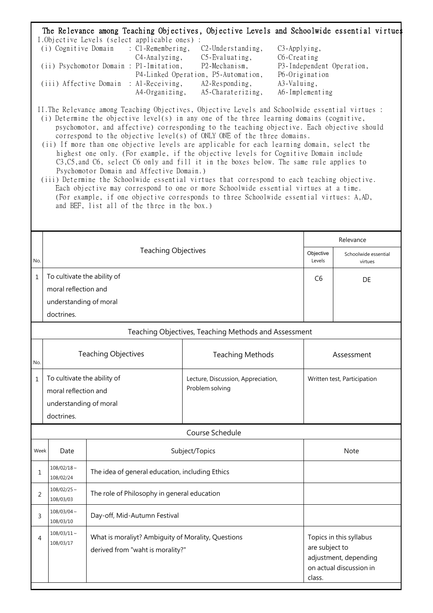| The Relevance among Teaching Objectives, Objective Levels and Schoolwide essential virtues<br>I.Objective Levels (select applicable ones) :<br>(i) Cognitive Domain<br>$\therefore$ C1-Remembering,<br>C <sub>2</sub> -Understanding,<br>C <sub>3</sub> -Applying,<br>C4-Analyzing,<br>C5-Evaluating,<br>$C6$ -Creating<br>(ii) Psychomotor Domain : P1–Imitation,<br>P2-Mechanism,<br>P3-Independent Operation,<br>P4-Linked Operation, P5-Automation,<br>P6-Origination<br>(iii) Affective Domain : Al-Receiving,<br>A2-Responding,<br>A3-Valuing,<br>A4-Organizing,<br>A5-Charaterizing,<br>A6-Implementing<br>II. The Relevance among Teaching Objectives, Objective Levels and Schoolwide essential virtues :<br>(i) Determine the objective level(s) in any one of the three learning domains (cognitive,<br>psychomotor, and affective) corresponding to the teaching objective. Each objective should<br>correspond to the objective level(s) of ONLY ONE of the three domains.<br>(ii) If more than one objective levels are applicable for each learning domain, select the<br>highest one only. (For example, if the objective levels for Cognitive Domain include |                                                                                                                         |                              |                                                       |                             |                                                                             |  |  |
|-------------------------------------------------------------------------------------------------------------------------------------------------------------------------------------------------------------------------------------------------------------------------------------------------------------------------------------------------------------------------------------------------------------------------------------------------------------------------------------------------------------------------------------------------------------------------------------------------------------------------------------------------------------------------------------------------------------------------------------------------------------------------------------------------------------------------------------------------------------------------------------------------------------------------------------------------------------------------------------------------------------------------------------------------------------------------------------------------------------------------------------------------------------------------------|-------------------------------------------------------------------------------------------------------------------------|------------------------------|-------------------------------------------------------|-----------------------------|-----------------------------------------------------------------------------|--|--|
| C3, C5, and C6, select C6 only and fill it in the boxes below. The same rule applies to<br>Psychomotor Domain and Affective Domain.)<br>(iii) Determine the Schoolwide essential virtues that correspond to each teaching objective.<br>Each objective may correspond to one or more Schoolwide essential virtues at a time.<br>(For example, if one objective corresponds to three Schoolwide essential virtues: A,AD,<br>and BEF, list all of the three in the box.)                                                                                                                                                                                                                                                                                                                                                                                                                                                                                                                                                                                                                                                                                                        |                                                                                                                         |                              |                                                       |                             |                                                                             |  |  |
|                                                                                                                                                                                                                                                                                                                                                                                                                                                                                                                                                                                                                                                                                                                                                                                                                                                                                                                                                                                                                                                                                                                                                                               |                                                                                                                         |                              |                                                       |                             | Relevance                                                                   |  |  |
| No.                                                                                                                                                                                                                                                                                                                                                                                                                                                                                                                                                                                                                                                                                                                                                                                                                                                                                                                                                                                                                                                                                                                                                                           | <b>Teaching Objectives</b>                                                                                              |                              |                                                       | Objective<br>Levels         | Schoolwide essential<br>virtues                                             |  |  |
| $\mathbf{1}$                                                                                                                                                                                                                                                                                                                                                                                                                                                                                                                                                                                                                                                                                                                                                                                                                                                                                                                                                                                                                                                                                                                                                                  | To cultivate the ability of                                                                                             |                              |                                                       | C <sub>6</sub>              | DE                                                                          |  |  |
|                                                                                                                                                                                                                                                                                                                                                                                                                                                                                                                                                                                                                                                                                                                                                                                                                                                                                                                                                                                                                                                                                                                                                                               | moral reflection and                                                                                                    |                              |                                                       |                             |                                                                             |  |  |
|                                                                                                                                                                                                                                                                                                                                                                                                                                                                                                                                                                                                                                                                                                                                                                                                                                                                                                                                                                                                                                                                                                                                                                               | understanding of moral<br>doctrines.                                                                                    |                              |                                                       |                             |                                                                             |  |  |
|                                                                                                                                                                                                                                                                                                                                                                                                                                                                                                                                                                                                                                                                                                                                                                                                                                                                                                                                                                                                                                                                                                                                                                               |                                                                                                                         |                              |                                                       |                             |                                                                             |  |  |
| Teaching Objectives, Teaching Methods and Assessment                                                                                                                                                                                                                                                                                                                                                                                                                                                                                                                                                                                                                                                                                                                                                                                                                                                                                                                                                                                                                                                                                                                          |                                                                                                                         |                              |                                                       |                             |                                                                             |  |  |
| No.                                                                                                                                                                                                                                                                                                                                                                                                                                                                                                                                                                                                                                                                                                                                                                                                                                                                                                                                                                                                                                                                                                                                                                           | <b>Teaching Objectives</b>                                                                                              |                              | <b>Teaching Methods</b>                               | Assessment                  |                                                                             |  |  |
| 1                                                                                                                                                                                                                                                                                                                                                                                                                                                                                                                                                                                                                                                                                                                                                                                                                                                                                                                                                                                                                                                                                                                                                                             | To cultivate the ability of<br>moral reflection and<br>understanding of moral<br>doctrines.                             |                              | Lecture, Discussion, Appreciation,<br>Problem solving | Written test, Participation |                                                                             |  |  |
|                                                                                                                                                                                                                                                                                                                                                                                                                                                                                                                                                                                                                                                                                                                                                                                                                                                                                                                                                                                                                                                                                                                                                                               |                                                                                                                         |                              | Course Schedule                                       |                             |                                                                             |  |  |
|                                                                                                                                                                                                                                                                                                                                                                                                                                                                                                                                                                                                                                                                                                                                                                                                                                                                                                                                                                                                                                                                                                                                                                               | Week<br>Date                                                                                                            |                              | Subject/Topics                                        | <b>Note</b>                 |                                                                             |  |  |
| 1                                                                                                                                                                                                                                                                                                                                                                                                                                                                                                                                                                                                                                                                                                                                                                                                                                                                                                                                                                                                                                                                                                                                                                             | $108/02/18 \sim$<br>The idea of general education, including Ethics<br>108/02/24                                        |                              |                                                       |                             |                                                                             |  |  |
| 2                                                                                                                                                                                                                                                                                                                                                                                                                                                                                                                                                                                                                                                                                                                                                                                                                                                                                                                                                                                                                                                                                                                                                                             | $108/02/25$ ~<br>The role of Philosophy in general education<br>108/03/03                                               |                              |                                                       |                             |                                                                             |  |  |
| 3                                                                                                                                                                                                                                                                                                                                                                                                                                                                                                                                                                                                                                                                                                                                                                                                                                                                                                                                                                                                                                                                                                                                                                             | $108/03/04$ ~<br>108/03/10                                                                                              | Day-off, Mid-Autumn Festival |                                                       |                             |                                                                             |  |  |
| 4                                                                                                                                                                                                                                                                                                                                                                                                                                                                                                                                                                                                                                                                                                                                                                                                                                                                                                                                                                                                                                                                                                                                                                             | $108/03/11 \sim$<br>What is moraliyt? Ambiguity of Morality, Questions<br>108/03/17<br>derived from "waht is morality?" |                              |                                                       | are subject to<br>class.    | Topics in this syllabus<br>adjustment, depending<br>on actual discussion in |  |  |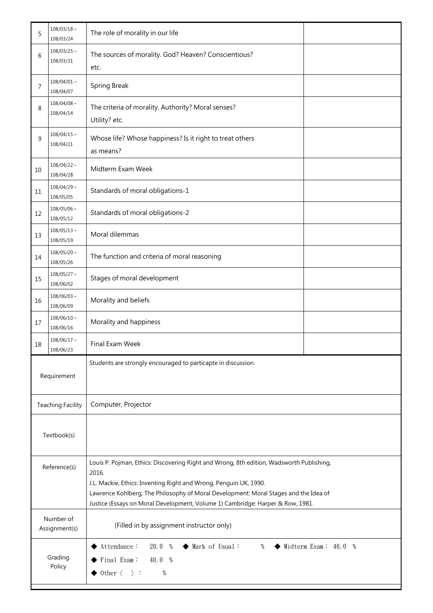| 5                                                                            | $108/03/18 \sim$<br>108/03/24                                                                                                                                                   | The role of morality in our life                                                                                                                                                                                                                                                                                                                 |  |  |
|------------------------------------------------------------------------------|---------------------------------------------------------------------------------------------------------------------------------------------------------------------------------|--------------------------------------------------------------------------------------------------------------------------------------------------------------------------------------------------------------------------------------------------------------------------------------------------------------------------------------------------|--|--|
| 6                                                                            | $108/03/25$ ~<br>108/03/31                                                                                                                                                      | The sources of morality. God? Heaven? Conscientious?<br>etc.                                                                                                                                                                                                                                                                                     |  |  |
| 7                                                                            | $108/04/01$ ~<br>108/04/07                                                                                                                                                      | Spring Break                                                                                                                                                                                                                                                                                                                                     |  |  |
| 8                                                                            | $108/04/08 \sim$<br>108/04/14                                                                                                                                                   | The criteria of morality. Authority? Moral senses?<br>Utility? etc.                                                                                                                                                                                                                                                                              |  |  |
| 9                                                                            | $108/04/15 \sim$<br>108/04/21                                                                                                                                                   | Whose life? Whose happiness? Is it right to treat others<br>as means?                                                                                                                                                                                                                                                                            |  |  |
| 10                                                                           | $108/04/22 \sim$<br>108/04/28                                                                                                                                                   | Midterm Exam Week                                                                                                                                                                                                                                                                                                                                |  |  |
| $11\,$                                                                       | $108/04/29$ ~<br>108/05/05                                                                                                                                                      | Standards of moral obligations-1                                                                                                                                                                                                                                                                                                                 |  |  |
| 12                                                                           | $108/05/06 \sim$<br>108/05/12                                                                                                                                                   | Standards of moral obligations-2                                                                                                                                                                                                                                                                                                                 |  |  |
| 13                                                                           | $108/05/13 \sim$<br>108/05/19                                                                                                                                                   | Moral dilemmas                                                                                                                                                                                                                                                                                                                                   |  |  |
| 14                                                                           | $108/05/20 \sim$<br>108/05/26                                                                                                                                                   | The function and criteria of moral reasoning                                                                                                                                                                                                                                                                                                     |  |  |
| 15                                                                           | $108/05/27 \sim$<br>108/06/02                                                                                                                                                   | Stages of moral development                                                                                                                                                                                                                                                                                                                      |  |  |
| 16                                                                           | $108/06/03 \sim$<br>108/06/09                                                                                                                                                   | Morality and beliefs                                                                                                                                                                                                                                                                                                                             |  |  |
| 17                                                                           | $108/06/10 \sim$<br>108/06/16                                                                                                                                                   | Morality and happiness                                                                                                                                                                                                                                                                                                                           |  |  |
| 18                                                                           | $108/06/17 \sim$<br>108/06/23                                                                                                                                                   | Final Exam Week                                                                                                                                                                                                                                                                                                                                  |  |  |
| Students are strongly encouraged to particapte in discussion.<br>Requirement |                                                                                                                                                                                 |                                                                                                                                                                                                                                                                                                                                                  |  |  |
| <b>Teaching Facility</b>                                                     |                                                                                                                                                                                 | Computer, Projector                                                                                                                                                                                                                                                                                                                              |  |  |
| Textbook(s)                                                                  |                                                                                                                                                                                 |                                                                                                                                                                                                                                                                                                                                                  |  |  |
| Reference(s)                                                                 |                                                                                                                                                                                 | Louis P. Pojman, Ethics: Discovering Right and Wrong, 8th edition, Wadsworth Publishing,<br>2016.<br>J.L. Mackie, Ethics: Inventing Right and Wrong, Penguin UK, 1990.<br>Lawrence Kohlberg, The Philosophy of Moral Development: Moral Stages and the Idea of<br>Justice (Essays on Moral Development, Volume 1) Cambridge: Harper & Row, 1981. |  |  |
|                                                                              | Number of<br>Assignment(s)                                                                                                                                                      | (Filled in by assignment instructor only)                                                                                                                                                                                                                                                                                                        |  |  |
|                                                                              | Attendance:<br>20.0 %<br>Midterm Exam: $40.0 %$<br>◆ Mark of Usual:<br>$\%$<br>Grading<br>Final Exam:<br>40.0 %<br>Policy<br>$\rightarrow$ 0ther $\langle \quad \rangle$ :<br>% |                                                                                                                                                                                                                                                                                                                                                  |  |  |